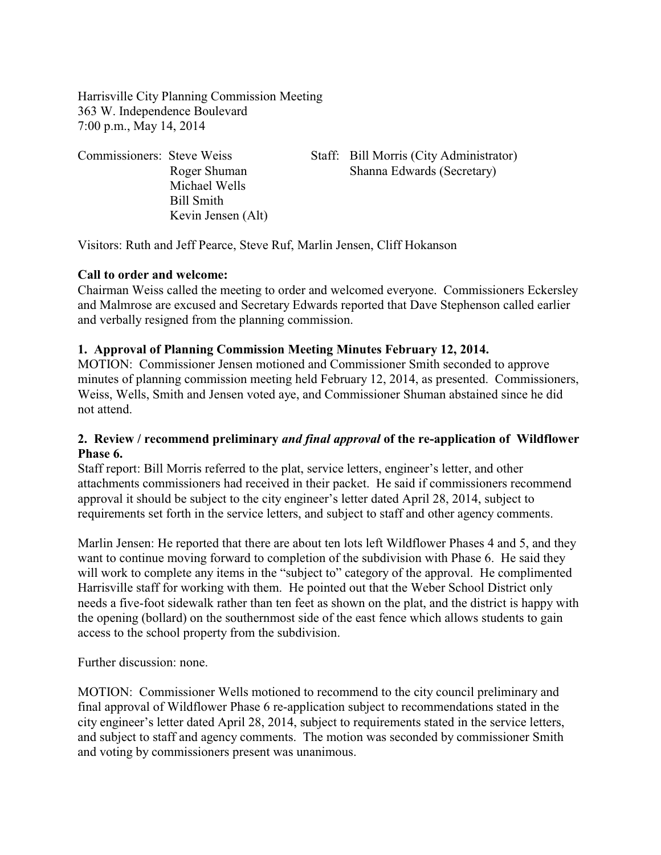Harrisville City Planning Commission Meeting 363 W. Independence Boulevard 7:00 p.m., May 14, 2014

| Commissioners: Steve Weiss |                    | Staff: Bill Morris (City Administrator) |
|----------------------------|--------------------|-----------------------------------------|
|                            | Roger Shuman       | Shanna Edwards (Secretary)              |
|                            | Michael Wells      |                                         |
|                            | Bill Smith         |                                         |
|                            | Kevin Jensen (Alt) |                                         |

Visitors: Ruth and Jeff Pearce, Steve Ruf, Marlin Jensen, Cliff Hokanson

### **Call to order and welcome:**

Chairman Weiss called the meeting to order and welcomed everyone. Commissioners Eckersley and Malmrose are excused and Secretary Edwards reported that Dave Stephenson called earlier and verbally resigned from the planning commission.

# **1. Approval of Planning Commission Meeting Minutes February 12, 2014.**

MOTION:Commissioner Jensen motioned and Commissioner Smith seconded to approve minutes of planning commission meeting held February 12, 2014, as presented. Commissioners, Weiss, Wells, Smith and Jensen voted aye, and Commissioner Shuman abstained since he did not attend.

## **2. Review / recommend preliminary** *and final approval* **of the re-application of Wildflower Phase 6.**

Staff report: Bill Morris referred to the plat, service letters, engineer's letter, and other attachments commissioners had received in their packet. He said if commissioners recommend approval it should be subject to the city engineer's letter dated April 28, 2014, subject to requirements set forth in the service letters, and subject to staff and other agency comments.

Marlin Jensen: He reported that there are about ten lots left Wildflower Phases 4 and 5, and they want to continue moving forward to completion of the subdivision with Phase 6. He said they will work to complete any items in the "subject to" category of the approval. He complimented Harrisville staff for working with them. He pointed out that the Weber School District only needs a five-foot sidewalk rather than ten feet as shown on the plat, and the district is happy with the opening (bollard) on the southernmost side of the east fence which allows students to gain access to the school property from the subdivision.

Further discussion: none.

MOTION: Commissioner Wells motioned to recommend to the city council preliminary and final approval of Wildflower Phase 6 re-application subject to recommendations stated in the city engineer's letter dated April 28, 2014, subject to requirements stated in the service letters, and subject to staff and agency comments. The motion was seconded by commissioner Smith and voting by commissioners present was unanimous.